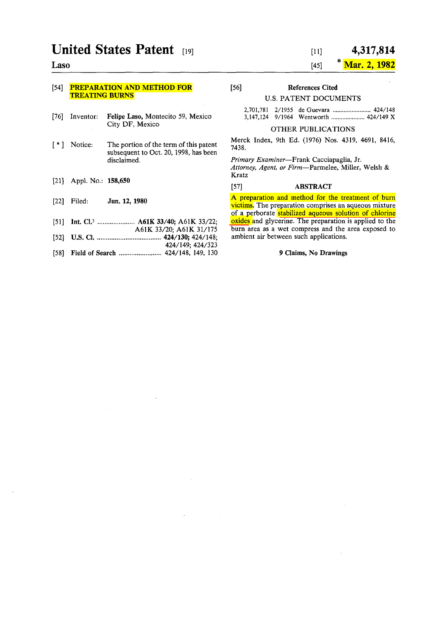# **United States Patent** [19]

## Laso

## [54] **PREPARATION AND METHOD FOR** TREATING BURNS

- [76] Inventor: Felipe Laso, Montecito 59, Mexico City DF, Mexico
- [ \*] Notice: The portion of the term of this patent subsequent to Oct. 20, 1998, has been disclaimed.
- [21) Appl. No.: 158,650
- [22] Filed: Jun. 12, 1980
- [51) Int. el.3 ••••••••••••••••••••• A61K 33/40; A61K 33/22;
- A61K 33/20; A61K 31/175
- [52] U.S. el ..................................... 424/130; 424/148; 424/149; 424/323
- [58] Field of Search ............................... 424/148, 149, 130

#### [11] 4,317,814

#### $[45]$ Mar. 2, 1982

[56] References Cited

## U.S. PATENT DOCUMENTS

#### OTHER PUBLICATIONS

Merck Index, 9th Ed. (1976) Nos. 4319, 4691, 8416, 7438.

*Primary Examiner-Frank* Cacciapaglia, Jr. *Attorney, Agent, or Firm-Parmelee,* Miller, Welsh & Kratz

#### [57] ABSTRACT

A preparation and method for the treatment of bum victims. The preparation comprises an aqueous mixture of a perborate stabilized aqueous solution of chlorine oxides and glycerine. The preparation is applied to the burn area as a wet compress and the area exposed to ambient air between such applications.

#### 9 Claims, No Drawings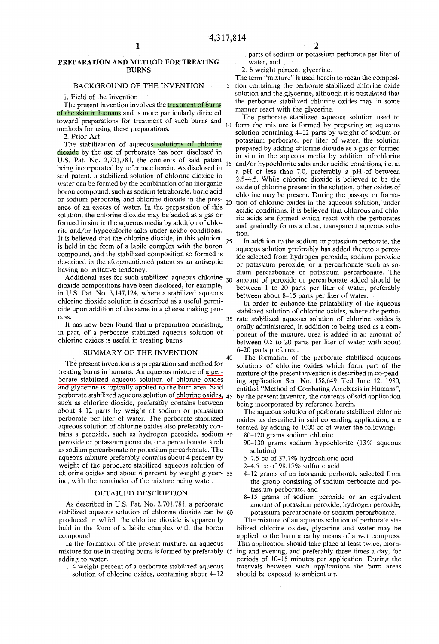40

#### PREPARATION AND METHOD FOR TREATING BURNS

#### BACKGROUND OF THE INVENTION

1. Field of the Invention

The present invention involves the treatment of burns of the skin in humans and is more particularly directed toward" preparations for treatment of such bums and methods for using these preparations.

2. Prior Art

The stabilization of aqueous solutions of chlorine dioxide by the use of perborates has been disclosed in U.S. Pat. No. 2,701,781, the contents of said patent being incorporated by reference herein. As disclosed in said patent, a stabilized solution of chlorine dioxide in water can be formed by the combination of an inorganic boron compound, such as sodium tetraborate, boric acid or sodium perborate, and chlorine dioxide in the presence of an excess of water. In the preparation of this solution, the chlorine dioxide may be added as a gas or formed in situ in the aqueous media by addition of chlorite *and/or* hypochlorite salts under acidic conditions. It is believed that the chlorine dioxide, in this solution,  $25$ is held in the form of a labile complex with the boron compound, and the stabilized composition so formed is described in the aforementioned patent as an antiseptic having no irritative tendency.

Additional uses for such stabilized aqueous chlorine  $_{30}$ dioxide compositions have been disclosed, for example, in U.S. Pat. No. 3,147,124, where a stabilized aqueous chlorine dioxide solution is described as a useful germicide upon addition of the same in a cheese making process.

It has now been found that a preparation consisting, in part, of a perborate stabilized aqueous solution of chlorine oxides is useful in treating bums.

#### SUMMARY OF THE INVENTION

The present invention is a preparation and method for treating burns in humans. An aqueous mixture of a perborate stabilized aqueous solution of chlorine oxides and glycerine is topicaIly applied to the bum area. Said perborate stabilized aqueous solution of chlorine oxides, such as chlorine dioxide, preferably contains between about 4-12 parts by weight of sodium or potassium perborate per liter of water. The perborate stabilized aqueous solution of chlorine oxides also preferably contains a peroxide, such as hydrogen peroxide, sodium 50 peroxide or potassium peroxide, or a percarbonate, such as sodium percarbonate or potassium percarbonate. The aqueous mixture preferably contains about 4 percent by weight of the perborate stabilized aqueous solution of chlorine oxides and about 6 percent by weight glycer- 55 ine, with the remainder of the mixture being water.

#### DETAILED DESCRIPTION

As described in U.S. Pat. No. 2,701,781, a perborate stabilized aqueous solution of chlorine dioxide can be 60 produced in which the chlorine dioxide is apparently held in the form of a labile complex with the boron compound.<br>In the formation of the present mixture, an aqueous

mixture for use in treating burns is formed by preferably 65 adding to water:

1. 4 weight percent of a perborate stabilized aqueous solution of chlorine oxides, containing about 4-12 parts of sodium or potassium perborate per liter of water, and

2. 6 weight percent glycerine.

The term "mixture" is used herein to mean the composi-5 tion containing the perborate stabilized chlorine oxide solution and the glycerine, although it is postulated that the perborate stabilized chlorine oxides may in some manner react with the glycerine.

The perborate stabilized aqueous solution used to 10 form the mixture is formed by preparing an aqueous solution containing 4-12 parts by weight of sodium or potassium perborate, per liter of water, the solution prepared by adding chlorine dioxide as a gas or formed in situ in the aqueous media by addition of chlorite *15 and/or* hypochlorite saIts under acidic conditions, i.e. at a pH of less than 7.0, preferably a pH of between 2.5-4.5. While chlorine dioxide is believed to be the oxide of chlorine present in the solution, other oxides of chlorine may be present. During the passage or formation of chlorine oxides in the aqueous solution, under acidic conditions, it is believed that chlorous and chloric acids are formed which react with the perborates and gradually forms a clear, transparent aqueous solution.

In addition to the sodium or potassium perborate, the aqueous solution preferably has added thereto a peroxide selected from hydrogen peroxide, sodium peroxide or potassium peroxide, or a percarbonate such as sodium percarbonate or potassium percarbonate. The amount of peroxide or percarbonate added should be between 1 to 20 parts per liter of water, preferably between about 8-15 parts per Iiter of water.

In order to enhance the palatability of the aqueous stabilized solution of chlorine oxides, where the perbo-35 rate stabílized aqueous solution of chlorine oxides is orally administered, in addition to being used as a component of the mixture, urea is added in an amount of between 0.5 to 20 parts per Iiter of water with about 6-20 parts preferred.

The formation of the perborate stabilized aqueous solutions of chlorine oxides which form part of the mixture of the present invention is described in co-pending application Ser. No. 158,649 filed June 12, 1980, entitled "Method of Combating Amebiasis in Humans", by the present inventor, the contents of said application being incorporated by reference herein.

The aqueous solution of perborate stabilized chlorine oxides, as described in said copending application, are formed by adding to 1000 cc of water the following:

80-120 grams sodium chlorite

- 90-130 grams sodium hypochlorite (13% aqueous solution)
- 5-7.5 cc of 37.7% hydrochloric acid

2-4.5 ce of 98.15% sulfuric acid

- 4-12 grams of an inorganic perborate selected from the group consisting of sodium perborate and potassium perborate, and
- 8-15 grams of sodium peroxide or an equivalent amount of potassium peroxide, hydrogen peroxide, potassium percarbonate or sodium percarbonate.

The mixture of an aqueous solution of perborate stabilized chlorine oxides, glycerine and water may be applied to the bum area by means of a wet compress. This application should take place at least twice, morning and evening, and preferably three times a day, for periods of 10-15 minutes per application. During the intervals between such applications the burn areas should be exposed to ambient air.